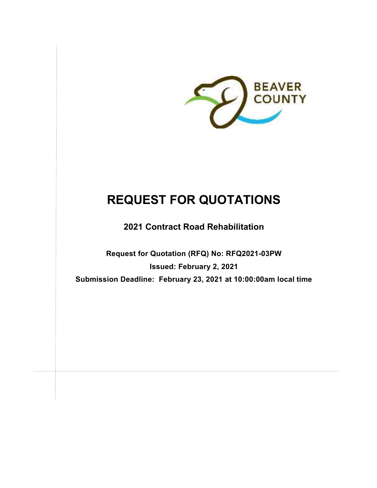

# **REQUEST FOR QUOTATIONS**

**2021 Contract Road Rehabilitation** 

**Request for Quotation (RFQ) No: RFQ2021-03PW Issued: February 2, 2021 Submission Deadline: February 23, 2021 at 10:00:00am local time**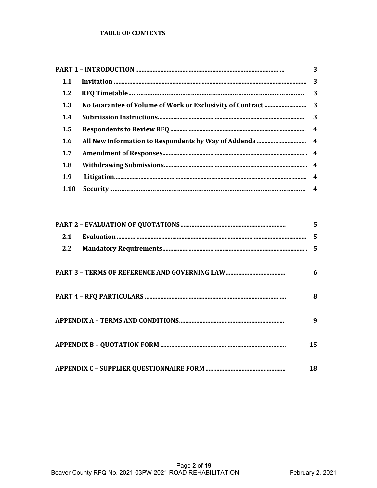### **TABLE OF CONTENTS**

|                  | 3 |  |  |
|------------------|---|--|--|
| 1.1              |   |  |  |
| 1.2              |   |  |  |
| 1.3              |   |  |  |
| 1.4              |   |  |  |
| $1.5\phantom{0}$ |   |  |  |
| 1.6              |   |  |  |
| 1.7              |   |  |  |
| 1.8              |   |  |  |
| 1.9              |   |  |  |
| 1.10             |   |  |  |

|               | 5              |
|---------------|----------------|
| 2.1           | $\overline{5}$ |
| $2.2^{\circ}$ | $\overline{5}$ |
|               | 6              |
|               | 8              |
|               | 9              |
|               | 15             |
|               | 18             |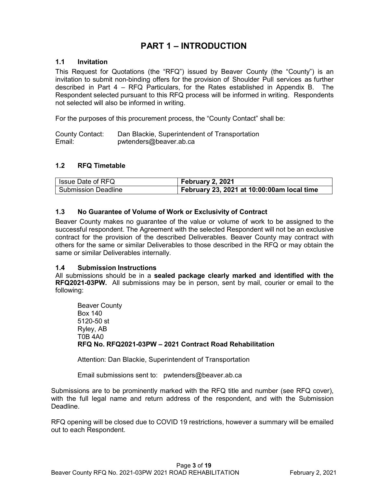# **PART 1 – INTRODUCTION**

# **1.1 Invitation**

This Request for Quotations (the "RFQ") issued by Beaver County (the "County") is an invitation to submit non-binding offers for the provision of Shoulder Pull services as further described in Part 4 – RFQ Particulars, for the Rates established in Appendix B. The Respondent selected pursuant to this RFQ process will be informed in writing. Respondents not selected will also be informed in writing.

For the purposes of this procurement process, the "County Contact" shall be:

County Contact: Dan Blackie, Superintendent of Transportation Email: pwtenders@beaver.ab.ca

# **1.2 RFQ Timetable**

| I Issue Date of RFQ | February 2, 2021                           |
|---------------------|--------------------------------------------|
| Submission Deadline | February 23, 2021 at 10:00:00am local time |

# **1.3 No Guarantee of Volume of Work or Exclusivity of Contract**

Beaver County makes no guarantee of the value or volume of work to be assigned to the successful respondent. The Agreement with the selected Respondent will not be an exclusive contract for the provision of the described Deliverables. Beaver County may contract with others for the same or similar Deliverables to those described in the RFQ or may obtain the same or similar Deliverables internally.

# **1.4 Submission Instructions**

All submissions should be in a **sealed package clearly marked and identified with the RFQ2021-03PW.** All submissions may be in person, sent by mail, courier or email to the following:

Beaver County Box 140 5120-50 st Ryley, AB T0B 4A0 **RFQ No. RFQ2021-03PW – 2021 Contract Road Rehabilitation** 

Attention: Dan Blackie, Superintendent of Transportation

Email submissions sent to: pwtenders@beaver.ab.ca

Submissions are to be prominently marked with the RFQ title and number (see RFQ cover), with the full legal name and return address of the respondent, and with the Submission Deadline.

RFQ opening will be closed due to COVID 19 restrictions, however a summary will be emailed out to each Respondent.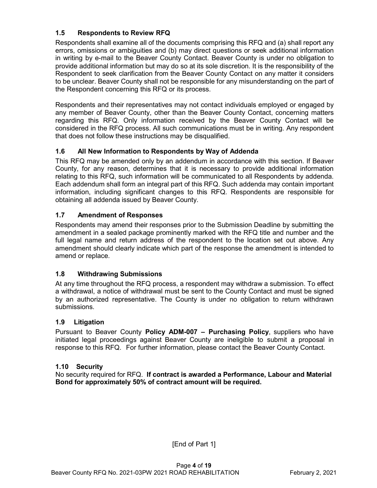# **1.5 Respondents to Review RFQ**

Respondents shall examine all of the documents comprising this RFQ and (a) shall report any errors, omissions or ambiguities and (b) may direct questions or seek additional information in writing by e-mail to the Beaver County Contact. Beaver County is under no obligation to provide additional information but may do so at its sole discretion. It is the responsibility of the Respondent to seek clarification from the Beaver County Contact on any matter it considers to be unclear. Beaver County shall not be responsible for any misunderstanding on the part of the Respondent concerning this RFQ or its process.

Respondents and their representatives may not contact individuals employed or engaged by any member of Beaver County, other than the Beaver County Contact, concerning matters regarding this RFQ. Only information received by the Beaver County Contact will be considered in the RFQ process. All such communications must be in writing. Any respondent that does not follow these instructions may be disqualified.

# **1.6 All New Information to Respondents by Way of Addenda**

This RFQ may be amended only by an addendum in accordance with this section. If Beaver County, for any reason, determines that it is necessary to provide additional information relating to this RFQ, such information will be communicated to all Respondents by addenda. Each addendum shall form an integral part of this RFQ. Such addenda may contain important information, including significant changes to this RFQ. Respondents are responsible for obtaining all addenda issued by Beaver County.

# **1.7 Amendment of Responses**

Respondents may amend their responses prior to the Submission Deadline by submitting the amendment in a sealed package prominently marked with the RFQ title and number and the full legal name and return address of the respondent to the location set out above. Any amendment should clearly indicate which part of the response the amendment is intended to amend or replace.

# **1.8 Withdrawing Submissions**

At any time throughout the RFQ process, a respondent may withdraw a submission. To effect a withdrawal, a notice of withdrawal must be sent to the County Contact and must be signed by an authorized representative. The County is under no obligation to return withdrawn submissions.

# **1.9 Litigation**

Pursuant to Beaver County **Policy ADM-007 – Purchasing Policy**, suppliers who have initiated legal proceedings against Beaver County are ineligible to submit a proposal in response to this RFQ. For further information, please contact the Beaver County Contact.

# **1.10 Security**

No security required for RFQ. **If contract is awarded a Performance, Labour and Material Bond for approximately 50% of contract amount will be required.**

[End of Part 1]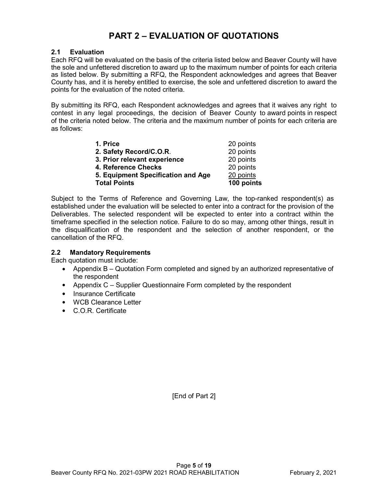# **PART 2 – EVALUATION OF QUOTATIONS**

### **2.1 Evaluation**

Each RFQ will be evaluated on the basis of the criteria listed below and Beaver County will have the sole and unfettered discretion to award up to the maximum number of points for each criteria as listed below. By submitting a RFQ, the Respondent acknowledges and agrees that Beaver County has, and it is hereby entitled to exercise, the sole and unfettered discretion to award the points for the evaluation of the noted criteria.

By submitting its RFQ, each Respondent acknowledges and agrees that it waives any right to contest in any legal proceedings, the decision of Beaver County to award points in respect of the criteria noted below. The criteria and the maximum number of points for each criteria are as follows:

| <b>Total Points</b>                | 100 points |
|------------------------------------|------------|
| 5. Equipment Specification and Age | 20 points  |
| 4. Reference Checks                | 20 points  |
| 3. Prior relevant experience       | 20 points  |
| 2. Safety Record/C.O.R.            | 20 points  |
| 1. Price                           | 20 points  |

Subject to the Terms of Reference and Governing Law, the top-ranked respondent(s) as established under the evaluation will be selected to enter into a contract for the provision of the Deliverables. The selected respondent will be expected to enter into a contract within the timeframe specified in the selection notice. Failure to do so may, among other things, result in the disqualification of the respondent and the selection of another respondent, or the cancellation of the RFQ.

# **2.2 Mandatory Requirements**

Each quotation must include:

- Appendix B Quotation Form completed and signed by an authorized representative of the respondent
- Appendix C Supplier Questionnaire Form completed by the respondent
- Insurance Certificate
- WCB Clearance Letter
- C.O.R. Certificate

[End of Part 2]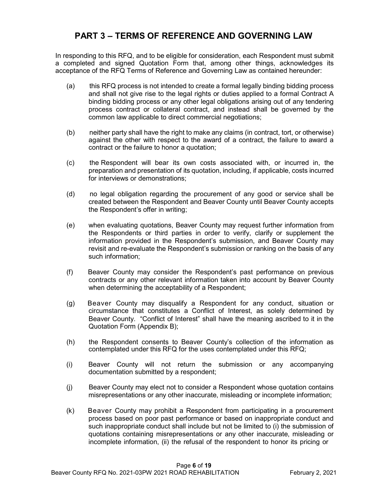# **PART 3 – TERMS OF REFERENCE AND GOVERNING LAW**

In responding to this RFQ, and to be eligible for consideration, each Respondent must submit a completed and signed Quotation Form that, among other things, acknowledges its acceptance of the RFQ Terms of Reference and Governing Law as contained hereunder:

- (a) this RFQ process is not intended to create a formal legally binding bidding process and shall not give rise to the legal rights or duties applied to a formal Contract A binding bidding process or any other legal obligations arising out of any tendering process contract or collateral contract, and instead shall be governed by the common law applicable to direct commercial negotiations;
- (b) neither party shall have the right to make any claims (in contract, tort, or otherwise) against the other with respect to the award of a contract, the failure to award a contract or the failure to honor a quotation;
- (c) the Respondent will bear its own costs associated with, or incurred in, the preparation and presentation of its quotation, including, if applicable, costs incurred for interviews or demonstrations;
- (d) no legal obligation regarding the procurement of any good or service shall be created between the Respondent and Beaver County until Beaver County accepts the Respondent's offer in writing;
- (e) when evaluating quotations, Beaver County may request further information from the Respondents or third parties in order to verify, clarify or supplement the information provided in the Respondent's submission, and Beaver County may revisit and re-evaluate the Respondent's submission or ranking on the basis of any such information;
- (f) Beaver County may consider the Respondent's past performance on previous contracts or any other relevant information taken into account by Beaver County when determining the acceptability of a Respondent;
- (g) Beaver County may disqualify a Respondent for any conduct, situation or circumstance that constitutes a Conflict of Interest, as solely determined by Beaver County. "Conflict of Interest" shall have the meaning ascribed to it in the Quotation Form (Appendix B);
- (h) the Respondent consents to Beaver County's collection of the information as contemplated under this RFQ for the uses contemplated under this RFQ;
- (i) Beaver County will not return the submission or any accompanying documentation submitted by a respondent;
- (j) Beaver County may elect not to consider a Respondent whose quotation contains misrepresentations or any other inaccurate, misleading or incomplete information;
- (k) Beaver County may prohibit a Respondent from participating in a procurement process based on poor past performance or based on inappropriate conduct and such inappropriate conduct shall include but not be limited to (i) the submission of quotations containing misrepresentations or any other inaccurate, misleading or incomplete information, (ii) the refusal of the respondent to honor its pricing or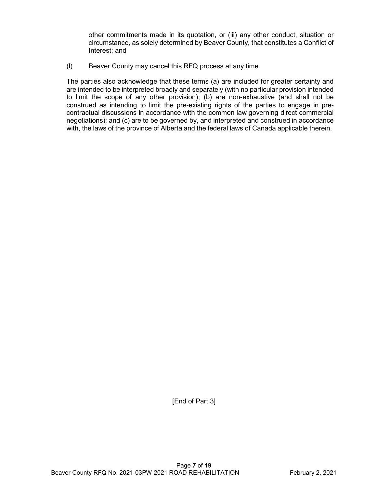other commitments made in its quotation, or (iii) any other conduct, situation or circumstance, as solely determined by Beaver County, that constitutes a Conflict of Interest; and

(l) Beaver County may cancel this RFQ process at any time.

The parties also acknowledge that these terms (a) are included for greater certainty and are intended to be interpreted broadly and separately (with no particular provision intended to limit the scope of any other provision); (b) are non-exhaustive (and shall not be construed as intending to limit the pre-existing rights of the parties to engage in precontractual discussions in accordance with the common law governing direct commercial negotiations); and (c) are to be governed by, and interpreted and construed in accordance with, the laws of the province of Alberta and the federal laws of Canada applicable therein.

[End of Part 3]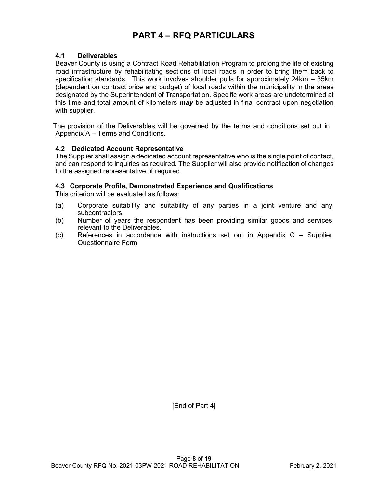# **PART 4 – RFQ PARTICULARS**

### **4.1 Deliverables**

Beaver County is using a Contract Road Rehabilitation Program to prolong the life of existing road infrastructure by rehabilitating sections of local roads in order to bring them back to specification standards. This work involves shoulder pulls for approximately 24km – 35km (dependent on contract price and budget) of local roads within the municipality in the areas designated by the Superintendent of Transportation. Specific work areas are undetermined at this time and total amount of kilometers *may* be adjusted in final contract upon negotiation with supplier.

The provision of the Deliverables will be governed by the terms and conditions set out in Appendix A – Terms and Conditions.

#### **4.2 Dedicated Account Representative**

The Supplier shall assign a dedicated account representative who is the single point of contact, and can respond to inquiries as required. The Supplier will also provide notification of changes to the assigned representative, if required.

#### **4.3 Corporate Profile, Demonstrated Experience and Qualifications**

This criterion will be evaluated as follows:

- (a) Corporate suitability and suitability of any parties in a joint venture and any subcontractors.
- (b) Number of years the respondent has been providing similar goods and services relevant to the Deliverables.
- (c) References in accordance with instructions set out in Appendix C Supplier Questionnaire Form

[End of Part 4]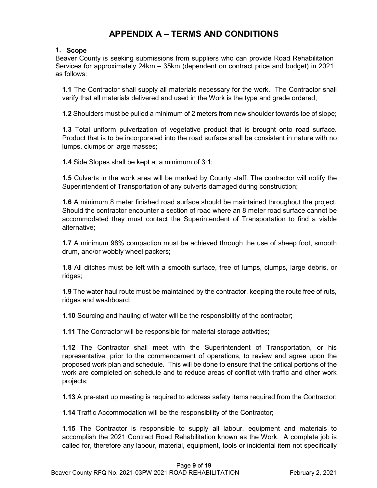# **APPENDIX A – TERMS AND CONDITIONS**

# **1. Scope**

Beaver County is seeking submissions from suppliers who can provide Road Rehabilitation Services for approximately 24km – 35km (dependent on contract price and budget) in 2021 as follows:

**1.1** The Contractor shall supply all materials necessary for the work. The Contractor shall verify that all materials delivered and used in the Work is the type and grade ordered;

**1.2** Shoulders must be pulled a minimum of 2 meters from new shoulder towards toe of slope;

**1.3** Total uniform pulverization of vegetative product that is brought onto road surface. Product that is to be incorporated into the road surface shall be consistent in nature with no lumps, clumps or large masses;

**1.4** Side Slopes shall be kept at a minimum of 3:1;

**1.5** Culverts in the work area will be marked by County staff. The contractor will notify the Superintendent of Transportation of any culverts damaged during construction;

**1.6** A minimum 8 meter finished road surface should be maintained throughout the project. Should the contractor encounter a section of road where an 8 meter road surface cannot be accommodated they must contact the Superintendent of Transportation to find a viable alternative;

**1.7** A minimum 98% compaction must be achieved through the use of sheep foot, smooth drum, and/or wobbly wheel packers;

**1.8** All ditches must be left with a smooth surface, free of lumps, clumps, large debris, or ridges;

**1.9** The water haul route must be maintained by the contractor, keeping the route free of ruts, ridges and washboard;

**1.10** Sourcing and hauling of water will be the responsibility of the contractor;

**1.11** The Contractor will be responsible for material storage activities;

**1.12** The Contractor shall meet with the Superintendent of Transportation, or his representative, prior to the commencement of operations, to review and agree upon the proposed work plan and schedule. This will be done to ensure that the critical portions of the work are completed on schedule and to reduce areas of conflict with traffic and other work projects;

**1.13** A pre-start up meeting is required to address safety items required from the Contractor;

**1.14** Traffic Accommodation will be the responsibility of the Contractor;

**1.15** The Contractor is responsible to supply all labour, equipment and materials to accomplish the 2021 Contract Road Rehabilitation known as the Work. A complete job is called for, therefore any labour, material, equipment, tools or incidental item not specifically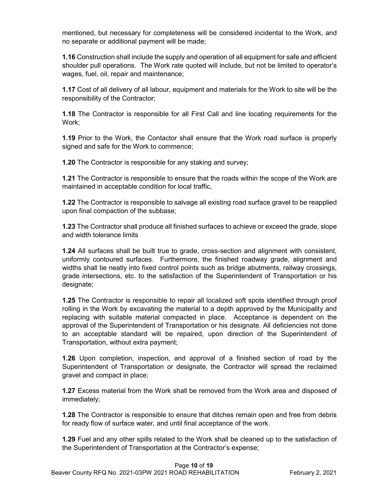mentioned, but necessary for completeness will be considered incidental to the Work, and no separate or additional payment will be made;

**1.16** Construction shall include the supply and operation of all equipment for safe and efficient shoulder pull operations. The Work rate quoted will include, but not be limited to operator's wages, fuel, oil, repair and maintenance;

**1.17** Cost of all delivery of all labour, equipment and materials for the Work to site will be the responsibility of the Contractor;

**1.18** The Contractor is responsible for all First Call and line locating requirements for the Work;

**1.19** Prior to the Work, the Contactor shall ensure that the Work road surface is properly signed and safe for the Work to commence;

**1.20** The Contractor is responsible for any staking and survey;

**1.21** The Contractor is responsible to ensure that the roads within the scope of the Work are maintained in acceptable condition for local traffic,

**1.22** The Contractor is responsible to salvage all existing road surface gravel to be reapplied upon final compaction of the subbase;

**1.23** The Contractor shall produce all finished surfaces to achieve or exceed the grade, slope and width tolerance limits

**1.24** All surfaces shall be built true to grade, cross-section and alignment with consistent, uniformly contoured surfaces. Furthermore, the finished roadway grade, alignment and widths shall tie neatly into fixed control points such as bridge abutments, railway crossings, grade intersections, etc. to the satisfaction of the Superintendent of Transportation or his designate;

**1.25** The Contractor is responsible to repair all localized soft spots identified through proof rolling in the Work by excavating the material to a depth approved by the Municipality and replacing with suitable material compacted in place. Acceptance is dependent on the approval of the Superintendent of Transportation or his designate. All deficiencies not done to an acceptable standard will be repaired, upon direction of the Superintendent of Transportation, without extra payment;

**1.26** Upon completion, inspection, and approval of a finished section of road by the Superintendent of Transportation or designate, the Contractor will spread the reclaimed gravel and compact in place;

**1.27** Excess material from the Work shall be removed from the Work area and disposed of immediately;

**1.28** The Contractor is responsible to ensure that ditches remain open and free from debris for ready flow of surface water, and until final acceptance of the work.

**1.29** Fuel and any other spills related to the Work shall be cleaned up to the satisfaction of the Superintendent of Transportation at the Contractor's expense;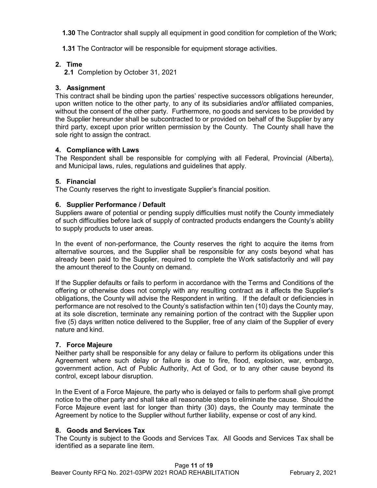**1.30** The Contractor shall supply all equipment in good condition for completion of the Work;

**1.31** The Contractor will be responsible for equipment storage activities.

# **2. Time**

**2.1** Completion by October 31, 2021

# **3. Assignment**

This contract shall be binding upon the parties' respective successors obligations hereunder, upon written notice to the other party, to any of its subsidiaries and/or affiliated companies, without the consent of the other party. Furthermore, no goods and services to be provided by the Supplier hereunder shall be subcontracted to or provided on behalf of the Supplier by any third party, except upon prior written permission by the County. The County shall have the sole right to assign the contract.

# **4. Compliance with Laws**

The Respondent shall be responsible for complying with all Federal, Provincial (Alberta), and Municipal laws, rules, regulations and guidelines that apply.

# **5. Financial**

The County reserves the right to investigate Supplier's financial position.

# **6. Supplier Performance / Default**

Suppliers aware of potential or pending supply difficulties must notify the County immediately of such difficulties before lack of supply of contracted products endangers the County's ability to supply products to user areas.

In the event of non-performance, the County reserves the right to acquire the items from alternative sources, and the Supplier shall be responsible for any costs beyond what has already been paid to the Supplier, required to complete the Work satisfactorily and will pay the amount thereof to the County on demand.

If the Supplier defaults or fails to perform in accordance with the Terms and Conditions of the offering or otherwise does not comply with any resulting contract as it affects the Supplier's obligations, the County will advise the Respondent in writing. If the default or deficiencies in performance are not resolved to the County's satisfaction within ten (10) days the County may, at its sole discretion, terminate any remaining portion of the contract with the Supplier upon five (5) days written notice delivered to the Supplier, free of any claim of the Supplier of every nature and kind.

# **7. Force Majeure**

Neither party shall be responsible for any delay or failure to perform its obligations under this Agreement where such delay or failure is due to fire, flood, explosion, war, embargo, government action, Act of Public Authority, Act of God, or to any other cause beyond its control, except labour disruption.

In the Event of a Force Majeure, the party who is delayed or fails to perform shall give prompt notice to the other party and shall take all reasonable steps to eliminate the cause. Should the Force Majeure event last for longer than thirty (30) days, the County may terminate the Agreement by notice to the Supplier without further liability, expense or cost of any kind.

# **8. Goods and Services Tax**

The County is subject to the Goods and Services Tax. All Goods and Services Tax shall be identified as a separate line item.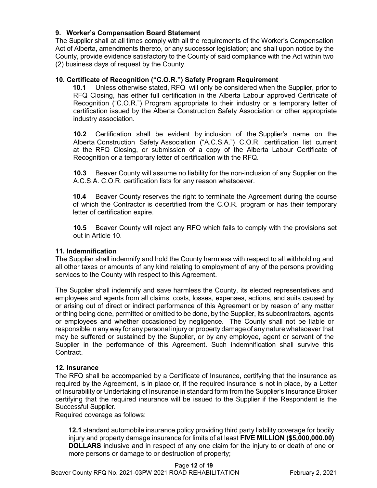# **9. Worker's Compensation Board Statement**

The Supplier shall at all times comply with all the requirements of the Worker's Compensation Act of Alberta, amendments thereto, or any successor legislation; and shall upon notice by the County, provide evidence satisfactory to the County of said compliance with the Act within two (2) business days of request by the County.

# **10. Certificate of Recognition ("C.O.R.") Safety Program Requirement**

**10.1** Unless otherwise stated, RFQ will only be considered when the Supplier, prior to RFQ Closing, has either full certification in the Alberta Labour approved Certificate of Recognition ("C.O.R.") Program appropriate to their industry or a temporary letter of certification issued by the Alberta Construction Safety Association or other appropriate industry association.

**10.2** Certification shall be evident by inclusion of the Supplier's name on the Alberta Construction Safety Association ("A.C.S.A.") C.O.R. certification list current at the RFQ Closing, or submission of a copy of the Alberta Labour Certificate of Recognition or a temporary letter of certification with the RFQ.

**10.3** Beaver County will assume no liability for the non-inclusion of any Supplier on the A.C.S.A. C.O.R. certification lists for any reason whatsoever.

**10.4** Beaver County reserves the right to terminate the Agreement during the course of which the Contractor is decertified from the C.O.R. program or has their temporary letter of certification expire.

**10.5** Beaver County will reject any RFQ which fails to comply with the provisions set out in Article 10.

# **11. Indemnification**

The Supplier shall indemnify and hold the County harmless with respect to all withholding and all other taxes or amounts of any kind relating to employment of any of the persons providing services to the County with respect to this Agreement.

The Supplier shall indemnify and save harmless the County, its elected representatives and employees and agents from all claims, costs, losses, expenses, actions, and suits caused by or arising out of direct or indirect performance of this Agreement or by reason of any matter or thing being done, permitted or omitted to be done, by the Supplier, its subcontractors, agents or employees and whether occasioned by negligence. The County shall not be liable or responsible in any way for any personal injury or property damage of any nature whatsoever that may be suffered or sustained by the Supplier, or by any employee, agent or servant of the Supplier in the performance of this Agreement. Such indemnification shall survive this Contract.

#### **12. Insurance**

The RFQ shall be accompanied by a Certificate of Insurance, certifying that the insurance as required by the Agreement, is in place or, if the required insurance is not in place, by a Letter of Insurability or Undertaking of Insurance in standard form from the Supplier's Insurance Broker certifying that the required insurance will be issued to the Supplier if the Respondent is the Successful Supplier.

Required coverage as follows:

**12.1** standard automobile insurance policy providing third party liability coverage for bodily injury and property damage insurance for limits of at least **FIVE MILLION (\$5,000,000.00) DOLLARS** inclusive and in respect of any one claim for the injury to or death of one or more persons or damage to or destruction of property;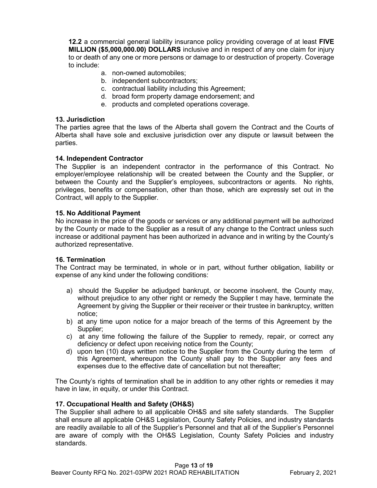**12.2** a commercial general liability insurance policy providing coverage of at least **FIVE MILLION (\$5,000,000.00) DOLLARS** inclusive and in respect of any one claim for injury to or death of any one or more persons or damage to or destruction of property. Coverage to include:

- a. non-owned automobiles;
- b. independent subcontractors;
- c. contractual liability including this Agreement;
- d. broad form property damage endorsement; and
- e. products and completed operations coverage.

#### **13. Jurisdiction**

The parties agree that the laws of the Alberta shall govern the Contract and the Courts of Alberta shall have sole and exclusive jurisdiction over any dispute or lawsuit between the parties.

#### **14. Independent Contractor**

The Supplier is an independent contractor in the performance of this Contract. No employer/employee relationship will be created between the County and the Supplier, or between the County and the Supplier's employees, subcontractors or agents. No rights, privileges, benefits or compensation, other than those, which are expressly set out in the Contract, will apply to the Supplier.

#### **15. No Additional Payment**

No increase in the price of the goods or services or any additional payment will be authorized by the County or made to the Supplier as a result of any change to the Contract unless such increase or additional payment has been authorized in advance and in writing by the County's authorized representative.

#### **16. Termination**

The Contract may be terminated, in whole or in part, without further obligation, liability or expense of any kind under the following conditions:

- a) should the Supplier be adjudged bankrupt, or become insolvent, the County may, without prejudice to any other right or remedy the Supplier t may have, terminate the Agreement by giving the Supplier or their receiver or their trustee in bankruptcy, written notice;
- b) at any time upon notice for a major breach of the terms of this Agreement by the Supplier;
- c) at any time following the failure of the Supplier to remedy, repair, or correct any deficiency or defect upon receiving notice from the County;
- d) upon ten (10) days written notice to the Supplier from the County during the term of this Agreement, whereupon the County shall pay to the Supplier any fees and expenses due to the effective date of cancellation but not thereafter;

The County's rights of termination shall be in addition to any other rights or remedies it may have in law, in equity, or under this Contract.

#### **17. Occupational Health and Safety (OH&S)**

The Supplier shall adhere to all applicable OH&S and site safety standards. The Supplier shall ensure all applicable OH&S Legislation, County Safety Policies, and industry standards are readily available to all of the Supplier's Personnel and that all of the Supplier's Personnel are aware of comply with the OH&S Legislation, County Safety Policies and industry standards.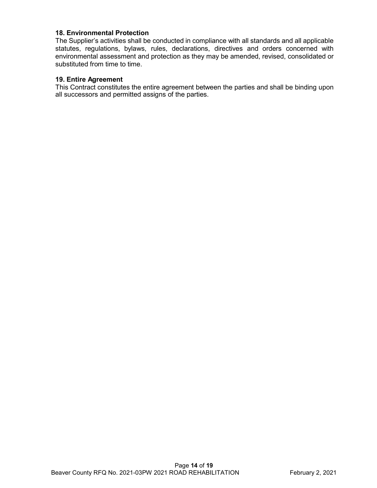# **18. Environmental Protection**

The Supplier's activities shall be conducted in compliance with all standards and all applicable statutes, regulations, bylaws, rules, declarations, directives and orders concerned with environmental assessment and protection as they may be amended, revised, consolidated or substituted from time to time.

### **19. Entire Agreement**

This Contract constitutes the entire agreement between the parties and shall be binding upon all successors and permitted assigns of the parties.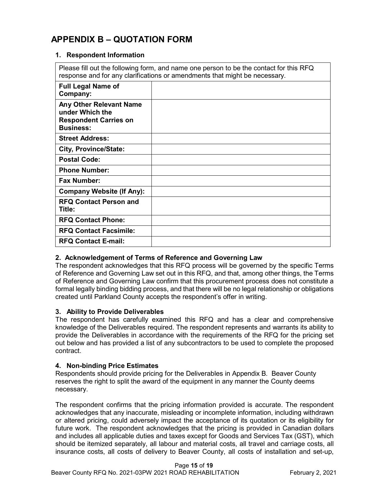# **APPENDIX B – QUOTATION FORM**

# **1. Respondent Information**

Please fill out the following form, and name one person to be the contact for this RFQ response and for any clarifications or amendments that might be necessary.

| <b>Full Legal Name of</b><br>Company:                                                          |  |
|------------------------------------------------------------------------------------------------|--|
| Any Other Relevant Name<br>under Which the<br><b>Respondent Carries on</b><br><b>Business:</b> |  |
| <b>Street Address:</b>                                                                         |  |
| City, Province/State:                                                                          |  |
| <b>Postal Code:</b>                                                                            |  |
| <b>Phone Number:</b>                                                                           |  |
| <b>Fax Number:</b>                                                                             |  |
| <b>Company Website (If Any):</b>                                                               |  |
| <b>RFQ Contact Person and</b><br>Title:                                                        |  |
| <b>RFQ Contact Phone:</b>                                                                      |  |
| <b>RFQ Contact Facsimile:</b>                                                                  |  |
| <b>RFQ Contact E-mail:</b>                                                                     |  |
|                                                                                                |  |

# **2. Acknowledgement of Terms of Reference and Governing Law**

The respondent acknowledges that this RFQ process will be governed by the specific Terms of Reference and Governing Law set out in this RFQ, and that, among other things, the Terms of Reference and Governing Law confirm that this procurement process does not constitute a formal legally binding bidding process, and that there will be no legal relationship or obligations created until Parkland County accepts the respondent's offer in writing.

# **3. Ability to Provide Deliverables**

The respondent has carefully examined this RFQ and has a clear and comprehensive knowledge of the Deliverables required. The respondent represents and warrants its ability to provide the Deliverables in accordance with the requirements of the RFQ for the pricing set out below and has provided a list of any subcontractors to be used to complete the proposed contract.

# **4. Non-binding Price Estimates**

Respondents should provide pricing for the Deliverables in Appendix B. Beaver County reserves the right to split the award of the equipment in any manner the County deems necessary.

The respondent confirms that the pricing information provided is accurate. The respondent acknowledges that any inaccurate, misleading or incomplete information, including withdrawn or altered pricing, could adversely impact the acceptance of its quotation or its eligibility for future work. The respondent acknowledges that the pricing is provided in Canadian dollars and includes all applicable duties and taxes except for Goods and Services Tax (GST), which should be itemized separately, all labour and material costs, all travel and carriage costs, all insurance costs, all costs of delivery to Beaver County, all costs of installation and set-up,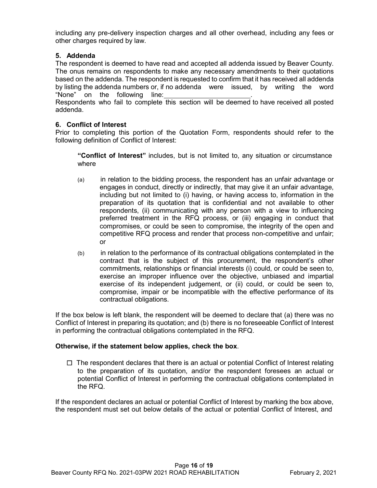including any pre-delivery inspection charges and all other overhead, including any fees or other charges required by law.

# **5. Addenda**

The respondent is deemed to have read and accepted all addenda issued by Beaver County. The onus remains on respondents to make any necessary amendments to their quotations based on the addenda. The respondent is requested to confirm that it has received all addenda by listing the addenda numbers or, if no addenda were issued, by writing the word "None" on the following line: Respondents who fail to complete this section will be deemed to have received all posted

addenda.

# **6. Conflict of Interest**

Prior to completing this portion of the Quotation Form, respondents should refer to the following definition of Conflict of Interest:

**"Conflict of Interest"** includes, but is not limited to, any situation or circumstance where

- (a) in relation to the bidding process, the respondent has an unfair advantage or engages in conduct, directly or indirectly, that may give it an unfair advantage, including but not limited to (i) having, or having access to, information in the preparation of its quotation that is confidential and not available to other respondents, (ii) communicating with any person with a view to influencing preferred treatment in the RFQ process, or (iii) engaging in conduct that compromises, or could be seen to compromise, the integrity of the open and competitive RFQ process and render that process non-competitive and unfair; or
- (b) in relation to the performance of its contractual obligations contemplated in the contract that is the subject of this procurement, the respondent's other commitments, relationships or financial interests (i) could, or could be seen to, exercise an improper influence over the objective, unbiased and impartial exercise of its independent judgement, or (ii) could, or could be seen to, compromise, impair or be incompatible with the effective performance of its contractual obligations.

If the box below is left blank, the respondent will be deemed to declare that (a) there was no Conflict of Interest in preparing its quotation; and (b) there is no foreseeable Conflict of Interest in performing the contractual obligations contemplated in the RFQ.

# **Otherwise, if the statement below applies, check the box**.

 $\Box$  The respondent declares that there is an actual or potential Conflict of Interest relating to the preparation of its quotation, and/or the respondent foresees an actual or potential Conflict of Interest in performing the contractual obligations contemplated in the RFQ.

If the respondent declares an actual or potential Conflict of Interest by marking the box above, the respondent must set out below details of the actual or potential Conflict of Interest, and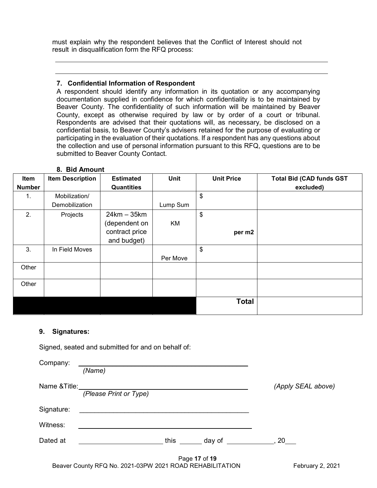must explain why the respondent believes that the Conflict of Interest should not result in disqualification form the RFQ process:

#### **7. Confidential Information of Respondent**

A respondent should identify any information in its quotation or any accompanying documentation supplied in confidence for which confidentiality is to be maintained by Beaver County. The confidentiality of such information will be maintained by Beaver County, except as otherwise required by law or by order of a court or tribunal. Respondents are advised that their quotations will, as necessary, be disclosed on a confidential basis, to Beaver County's advisers retained for the purpose of evaluating or participating in the evaluation of their quotations. If a respondent has any questions about the collection and use of personal information pursuant to this RFQ, questions are to be submitted to Beaver County Contact.

| Item          | <b>Item Description</b> | <b>Estimated</b>  | Unit     | <b>Unit Price</b> | <b>Total Bid (CAD funds GST</b> |
|---------------|-------------------------|-------------------|----------|-------------------|---------------------------------|
| <b>Number</b> |                         | <b>Quantities</b> |          |                   | excluded)                       |
| 1.            | Mobilization/           |                   |          | \$                |                                 |
|               | Demobilization          |                   | Lump Sum |                   |                                 |
| 2.            | Projects                | $24km - 35km$     |          | \$                |                                 |
|               |                         | (dependent on     | KM       |                   |                                 |
|               |                         | contract price    |          | per m2            |                                 |
|               |                         | and budget)       |          |                   |                                 |
| 3.            | In Field Moves          |                   |          | \$                |                                 |
|               |                         |                   | Per Move |                   |                                 |
| Other         |                         |                   |          |                   |                                 |
|               |                         |                   |          |                   |                                 |
| Other         |                         |                   |          |                   |                                 |
|               |                         |                   |          |                   |                                 |
|               |                         |                   |          | <b>Total</b>      |                                 |
|               |                         |                   |          |                   |                                 |

#### **8. Bid Amount**

#### **9. Signatures:**

Signed, seated and submitted for and on behalf of:

| Company:      |                        |      |               |                              |                    |
|---------------|------------------------|------|---------------|------------------------------|--------------------|
|               | (Name)                 |      |               |                              |                    |
| Name & Title: |                        |      |               |                              | (Apply SEAL above) |
|               | (Please Print or Type) |      |               |                              |                    |
| Signature:    |                        |      |               |                              |                    |
| Witness:      |                        |      |               |                              |                    |
| Dated at      |                        | this |               | day of ______________, 20___ |                    |
|               |                        |      | Page 17 of 19 |                              |                    |

Beaver County RFQ No. 2021-03PW 2021 ROAD REHABILITATION February 2, 2021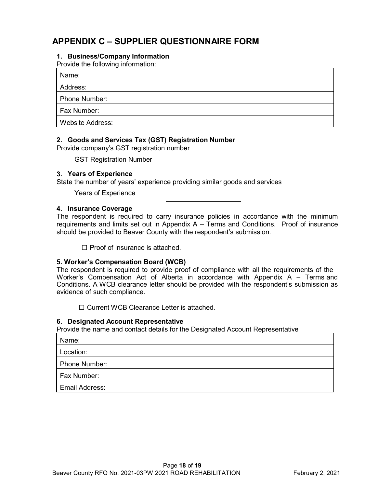# **APPENDIX C – SUPPLIER QUESTIONNAIRE FORM**

# **1. Business/Company Information**

Provide the following information:

| Name:                   |  |
|-------------------------|--|
| Address:                |  |
| Phone Number:           |  |
| Fax Number:             |  |
| <b>Website Address:</b> |  |

# **2. Goods and Services Tax (GST) Registration Number**

Provide company's GST registration number

GST Registration Number

#### **3. Years of Experience**

State the number of years' experience providing similar goods and services

Years of Experience

#### **4. Insurance Coverage**

The respondent is required to carry insurance policies in accordance with the minimum requirements and limits set out in Appendix A – Terms and Conditions. Proof of insurance should be provided to Beaver County with the respondent's submission.

☐ Proof of insurance is attached.

#### **5. Worker's Compensation Board (WCB)**

The respondent is required to provide proof of compliance with all the requirements of the Worker's Compensation Act of Alberta in accordance with Appendix A – Terms and Conditions. A WCB clearance letter should be provided with the respondent's submission as evidence of such compliance.

☐ Current WCB Clearance Letter is attached.

#### **6. Designated Account Representative**

Provide the name and contact details for the Designated Account Representative

| Name:          |  |
|----------------|--|
| Location:      |  |
| Phone Number:  |  |
| Fax Number:    |  |
| Email Address: |  |